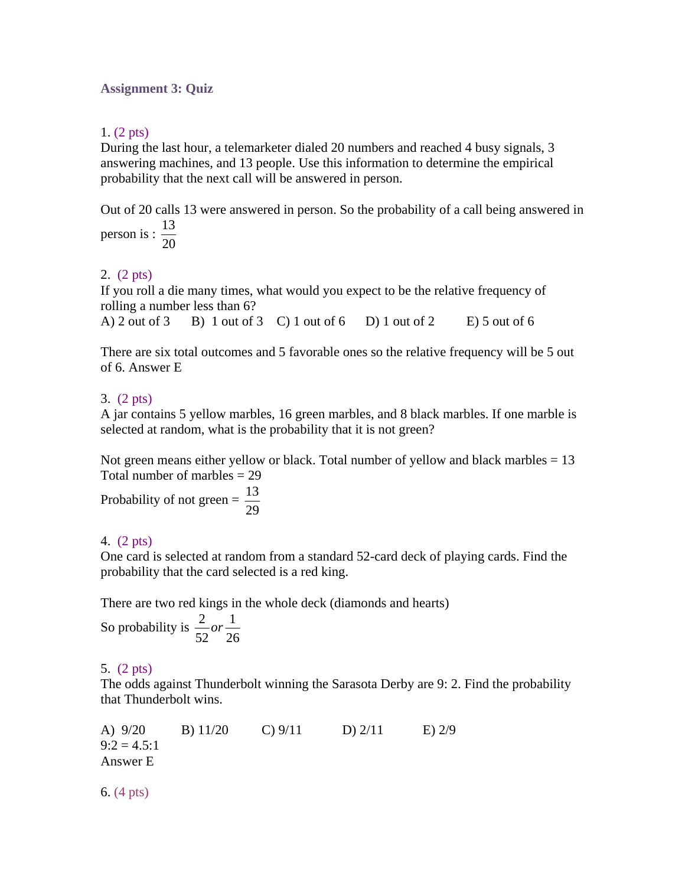#### **Assignment 3: Quiz**

#### 1. (2 pts)

During the last hour, a telemarketer dialed 20 numbers and reached 4 busy signals, 3 answering machines, and 13 people. Use this information to determine the empirical probability that the next call will be answered in person.

Out of 20 calls 13 were answered in person. So the probability of a call being answered in person is :  $\frac{13}{12}$ 

20

# 2. (2 pts)

If you roll a die many times, what would you expect to be the relative frequency of rolling a number less than 6?

A) 2 out of 3 B) 1 out of 3 C) 1 out of 6 D) 1 out of 2 E) 5 out of 6

There are six total outcomes and 5 favorable ones so the relative frequency will be 5 out of 6. Answer E

# 3. (2 pts)

A jar contains 5 yellow marbles, 16 green marbles, and 8 black marbles. If one marble is selected at random, what is the probability that it is not green?

Not green means either yellow or black. Total number of yellow and black marbles  $= 13$ Total number of marbles  $= 29$ 

Probability of not green =  $\frac{13}{20}$ 29

# 4. (2 pts)

One card is selected at random from a standard 52-card deck of playing cards. Find the probability that the card selected is a red king.

There are two red kings in the whole deck (diamonds and hearts)

So probability is  $\frac{2}{\epsilon_0}$  or  $\frac{1}{\epsilon_0}$  $52^{\degree}$  26 *or*

# 5. (2 pts)

The odds against Thunderbolt winning the Sarasota Derby are 9: 2. Find the probability that Thunderbolt wins.

A) 9/20 B) 11/20 C) 9/11 D) 2/11 E) 2/9  $9:2 = 4.5:1$ Answer E

6. (4 pts)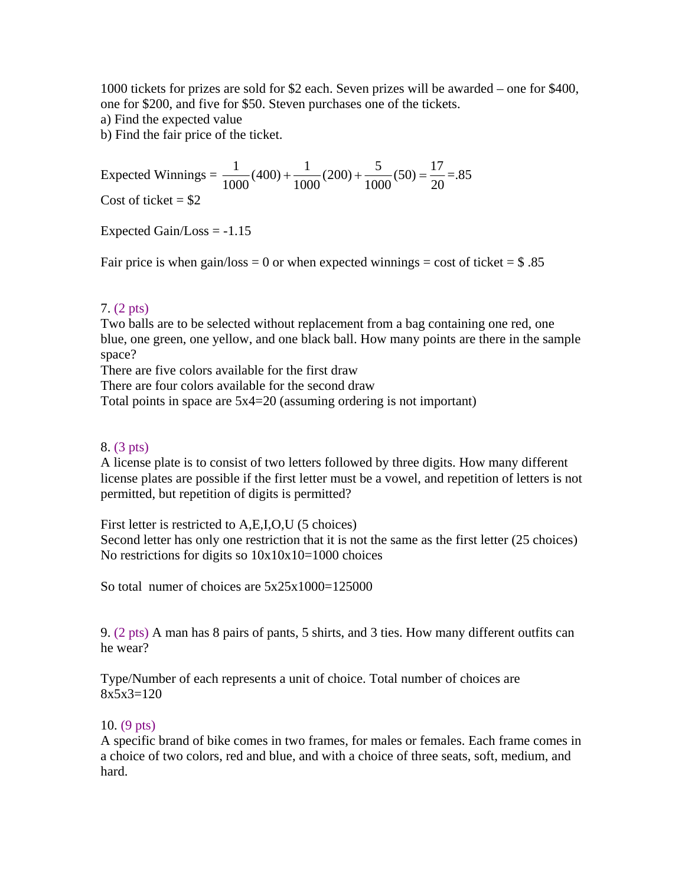1000 tickets for prizes are sold for \$2 each. Seven prizes will be awarded – one for \$400, one for \$200, and five for \$50. Steven purchases one of the tickets.

a) Find the expected value

b) Find the fair price of the ticket.

Expected Winnings =  $\frac{1}{1000}(400) + \frac{1}{1000}(200) + \frac{5}{1000}(50) = \frac{17}{20} = .85$ Cost of ticket  $= $2$ 

Expected Gain/Loss  $= -1.15$ 

Fair price is when gain/loss = 0 or when expected winnings = cost of ticket =  $\$$ .85

#### 7. (2 pts)

Two balls are to be selected without replacement from a bag containing one red, one blue, one green, one yellow, and one black ball. How many points are there in the sample space?

There are five colors available for the first draw

There are four colors available for the second draw

Total points in space are 5x4=20 (assuming ordering is not important)

#### 8. (3 pts)

A license plate is to consist of two letters followed by three digits. How many different license plates are possible if the first letter must be a vowel, and repetition of letters is not permitted, but repetition of digits is permitted?

First letter is restricted to A,E,I,O,U (5 choices)

Second letter has only one restriction that it is not the same as the first letter (25 choices) No restrictions for digits so  $10x10x10=1000$  choices

So total numer of choices are 5x25x1000=125000

9. (2 pts) A man has 8 pairs of pants, 5 shirts, and 3 ties. How many different outfits can he wear?

Type/Number of each represents a unit of choice. Total number of choices are  $8x5x3=120$ 

# 10. (9 pts)

A specific brand of bike comes in two frames, for males or females. Each frame comes in a choice of two colors, red and blue, and with a choice of three seats, soft, medium, and hard.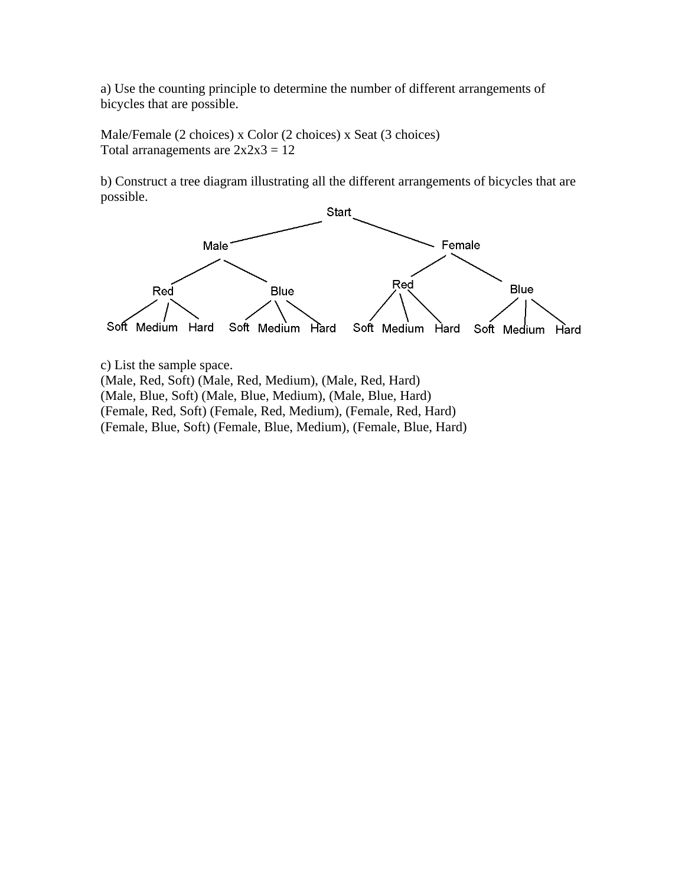a) Use the counting principle to determine the number of different arrangements of bicycles that are possible.

Male/Female (2 choices) x Color (2 choices) x Seat (3 choices) Total arranagements are  $2x2x3 = 12$ 

b) Construct a tree diagram illustrating all the different arrangements of bicycles that are possible.



c) List the sample space.

(Male, Red, Soft) (Male, Red, Medium), (Male, Red, Hard) (Male, Blue, Soft) (Male, Blue, Medium), (Male, Blue, Hard) (Female, Red, Soft) (Female, Red, Medium), (Female, Red, Hard) (Female, Blue, Soft) (Female, Blue, Medium), (Female, Blue, Hard)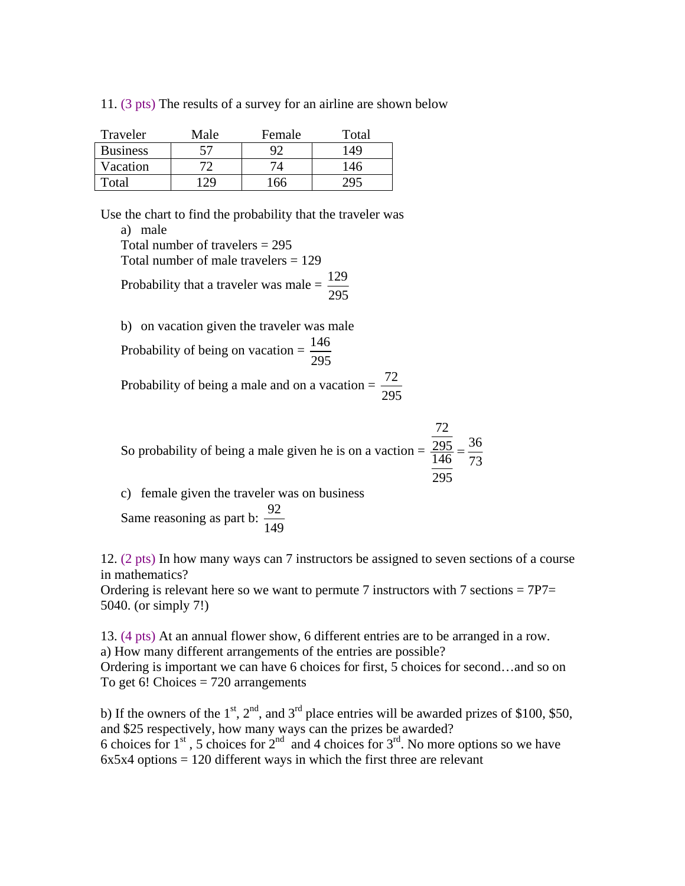| 11. $(3 \text{ pts})$ The results of a survey for an airline are shown below |  |  |  |  |  |  |  |  |  |
|------------------------------------------------------------------------------|--|--|--|--|--|--|--|--|--|
|------------------------------------------------------------------------------|--|--|--|--|--|--|--|--|--|

| Traveler        | Male | Female | Total |
|-----------------|------|--------|-------|
| <b>Business</b> | 57   | 0٬     | '49   |
| Vacation        |      |        | 146   |
| Total           |      |        |       |

Use the chart to find the probability that the traveler was a) male Total number of travelers = 295 Total number of male travelers = 129 Probability that a traveler was male =  $\frac{129}{207}$ 295

b) on vacation given the traveler was male Probability of being on vacation =  $\frac{146}{205}$ 295 Probability of being a male and on a vacation =  $\frac{72}{20}$ 295

So probability of being a male given he is on a vacation = 
$$
\frac{\frac{72}{295}}{\frac{146}{295}} = \frac{36}{73}
$$

c) female given the traveler was on business Same reasoning as part b:  $\frac{92}{116}$ 149

12. (2 pts) In how many ways can 7 instructors be assigned to seven sections of a course in mathematics?

Ordering is relevant here so we want to permute 7 instructors with 7 sections  $= 7P7 =$ 5040. (or simply 7!)

13. (4 pts) At an annual flower show, 6 different entries are to be arranged in a row. a) How many different arrangements of the entries are possible? Ordering is important we can have 6 choices for first, 5 choices for second…and so on To get 6! Choices  $= 720$  arrangements

b) If the owners of the  $1<sup>st</sup>$ ,  $2<sup>nd</sup>$ , and  $3<sup>rd</sup>$  place entries will be awarded prizes of \$100, \$50, and \$25 respectively, how many ways can the prizes be awarded? 6 choices for  $1<sup>st</sup>$ , 5 choices for  $2<sup>nd</sup>$  and 4 choices for  $3<sup>rd</sup>$ . No more options so we have  $6x5x4$  options = 120 different ways in which the first three are relevant